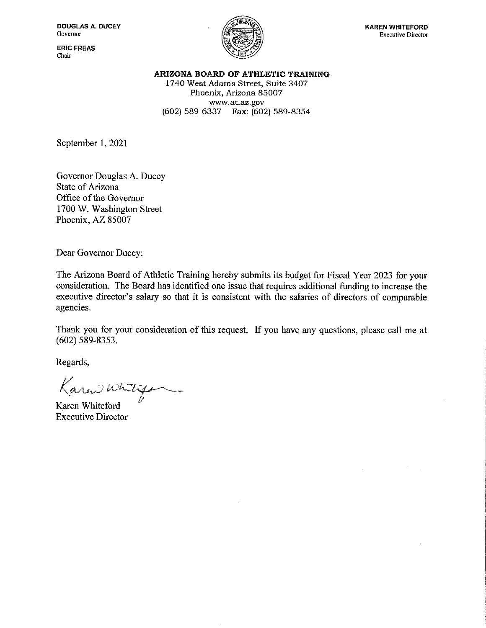**ERIC FREAS** Chair



ARIZONA BOARD OF ATHLETIC TRAINING

1740 West Adams Street, Suite 3407 Phoenix, Arizona 85007 www.at.az.gov (602) 589-6337 Fax: (602) 589-8354

September 1, 2021

Governor Douglas A. Ducey **State of Arizona** Office of the Governor 1700 W. Washington Street Phoenix, AZ 85007

Dear Governor Ducey:

The Arizona Board of Athletic Training hereby submits its budget for Fiscal Year 2023 for your consideration. The Board has identified one issue that requires additional funding to increase the executive director's salary so that it is consistent with the salaries of directors of comparable agencies.

Thank you for your consideration of this request. If you have any questions, please call me at  $(602)$  589-8353.

Regards,

Karan whitego

Karen Whiteford **Executive Director**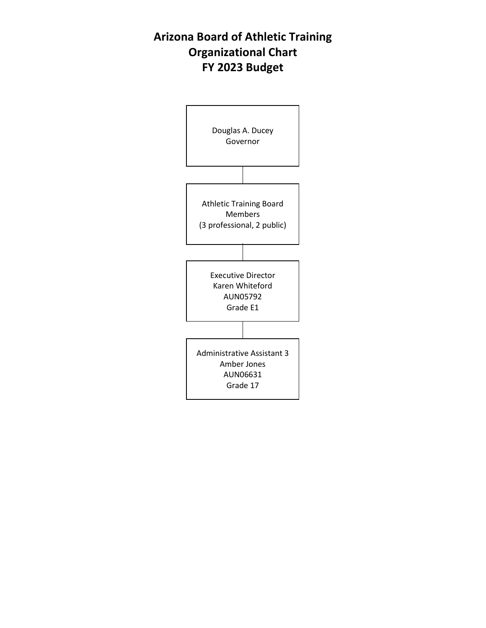# **Arizona Board of Athletic Training Organizational Chart FY 2023 Budget**

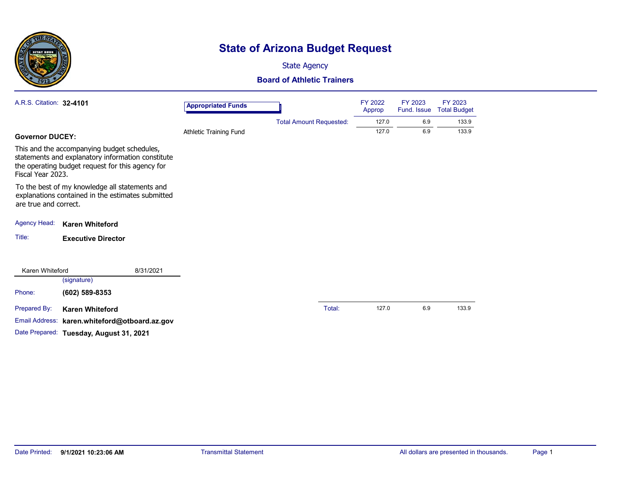

# **State of Arizona Budget Request**

State Agency

#### **Board of Athletic Trainers**

| A.R.S. Citation: 32-4101 |                                                                                                                                                      | <b>Appropriated Funds</b> |                                | FY 2022<br>Approp | FY 2023<br>Fund. Issue | FY 2023<br><b>Total Budget</b> |
|--------------------------|------------------------------------------------------------------------------------------------------------------------------------------------------|---------------------------|--------------------------------|-------------------|------------------------|--------------------------------|
|                          |                                                                                                                                                      |                           | <b>Total Amount Requested:</b> | 127.0             | 6.9                    | 133.9                          |
| <b>Governor DUCEY:</b>   |                                                                                                                                                      | Athletic Training Fund    |                                | 127.0             | 6.9                    | 133.9                          |
| Fiscal Year 2023.        | This and the accompanying budget schedules,<br>statements and explanatory information constitute<br>the operating budget request for this agency for |                           |                                |                   |                        |                                |
| are true and correct.    | To the best of my knowledge all statements and<br>explanations contained in the estimates submitted                                                  |                           |                                |                   |                        |                                |
| <b>Agency Head:</b>      | <b>Karen Whiteford</b>                                                                                                                               |                           |                                |                   |                        |                                |
| Title:                   | <b>Executive Director</b>                                                                                                                            |                           |                                |                   |                        |                                |
| Karen Whiteford          | 8/31/2021                                                                                                                                            |                           |                                |                   |                        |                                |
|                          | (signature)                                                                                                                                          |                           |                                |                   |                        |                                |
| Phone:                   | (602) 589-8353                                                                                                                                       |                           |                                |                   |                        |                                |
| Prepared By:             | <b>Karen Whiteford</b>                                                                                                                               |                           | Total:                         | 127.0             | 6.9                    | 133.9                          |
| Email Address:           | karen.whiteford@otboard.az.gov                                                                                                                       |                           |                                |                   |                        |                                |
|                          | Date Prepared: Tuesday, August 31, 2021                                                                                                              |                           |                                |                   |                        |                                |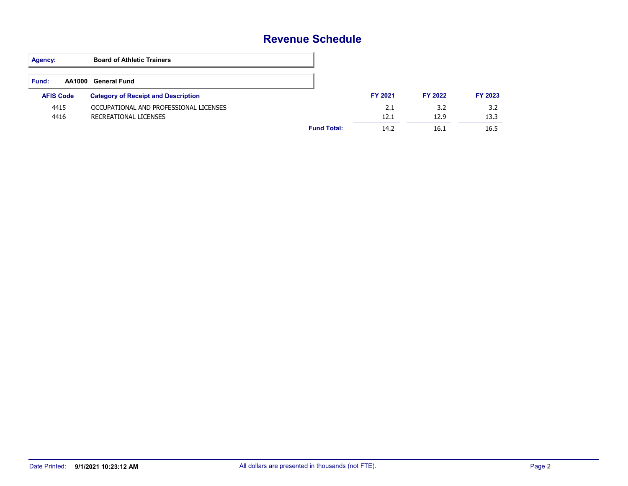### **Revenue Schedule**

| <b>Agency:</b>   | <b>Board of Athletic Trainers</b>          |                    |                |         |         |
|------------------|--------------------------------------------|--------------------|----------------|---------|---------|
| <b>Fund:</b>     | AA1000 General Fund                        |                    |                |         |         |
| <b>AFIS Code</b> | <b>Category of Receipt and Description</b> |                    | <b>FY 2021</b> | FY 2022 | FY 2023 |
| 4415             | OCCUPATIONAL AND PROFESSIONAL LICENSES     |                    | 2.1            | 3.2     | 3.2     |
| 4416             | RECREATIONAL LICENSES                      |                    | 12.1           | 12.9    | 13.3    |
|                  |                                            | <b>Fund Total:</b> | 14.2           | 16.1    | 16.5    |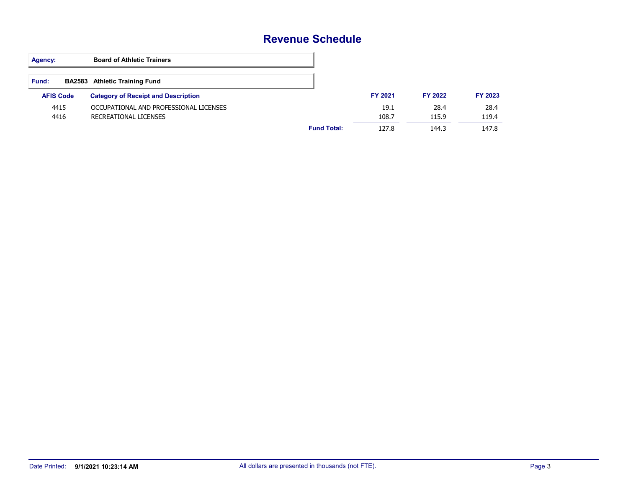### **Revenue Schedule**

| Agency:          | <b>Board of Athletic Trainers</b>          |                    |                |         |         |
|------------------|--------------------------------------------|--------------------|----------------|---------|---------|
| Fund:            | <b>BA2583</b> Athletic Training Fund       |                    |                |         |         |
| <b>AFIS Code</b> | <b>Category of Receipt and Description</b> |                    | <b>FY 2021</b> | FY 2022 | FY 2023 |
| 4415             | OCCUPATIONAL AND PROFESSIONAL LICENSES     |                    | 19.1           | 28.4    | 28.4    |
| 4416             | RECREATIONAL LICENSES                      |                    | 108.7          | 115.9   | 119.4   |
|                  |                                            | <b>Fund Total:</b> | 127.8          | 144.3   | 147.8   |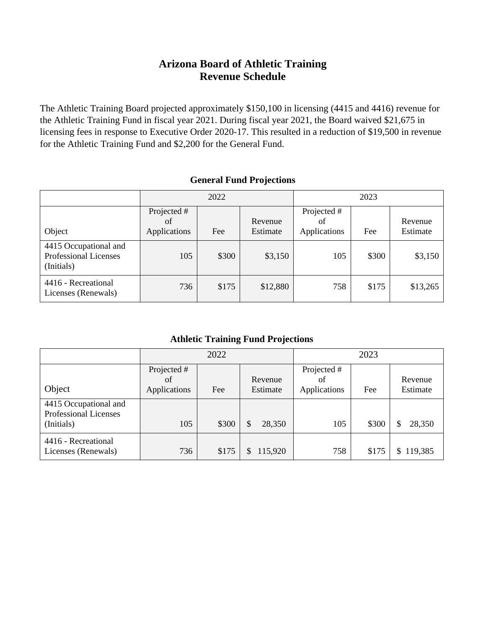### **Arizona Board of Athletic Training Revenue Schedule**

The Athletic Training Board projected approximately \$150,100 in licensing (4415 and 4416) revenue for the Athletic Training Fund in fiscal year 2021. During fiscal year 2021, the Board waived \$21,675 in licensing fees in response to Executive Order 2020-17. This resulted in a reduction of \$19,500 in revenue for the Athletic Training Fund and \$2,200 for the General Fund.

#### **General Fund Projections**

|                                                              | 2022                              |       |                     |                                   |       |                     | 2023 |  |  |
|--------------------------------------------------------------|-----------------------------------|-------|---------------------|-----------------------------------|-------|---------------------|------|--|--|
| Object                                                       | Projected #<br>of<br>Applications | Fee   | Revenue<br>Estimate | Projected #<br>οf<br>Applications | Fee   | Revenue<br>Estimate |      |  |  |
| 4415 Occupational and<br>Professional Licenses<br>(Initials) | 105                               | \$300 | \$3,150             | 105                               | \$300 | \$3,150             |      |  |  |
| 4416 - Recreational<br>Licenses (Renewals)                   | 736                               | \$175 | \$12,880            | 758                               | \$175 | \$13,265            |      |  |  |

#### **Athletic Training Fund Projections**

|                                                                     |                                   | 2022  |                     | 2023                              |       |                     |
|---------------------------------------------------------------------|-----------------------------------|-------|---------------------|-----------------------------------|-------|---------------------|
| Object                                                              | Projected #<br>of<br>Applications | Fee   | Revenue<br>Estimate | Projected #<br>of<br>Applications | Fee   | Revenue<br>Estimate |
| 4415 Occupational and<br><b>Professional Licenses</b><br>(Initials) | 105                               | \$300 | 28,350<br>\$        | 105                               | \$300 | 28,350<br>\$        |
| 4416 - Recreational<br>Licenses (Renewals)                          | 736                               | \$175 | 115,920             | 758                               | \$175 | 119,385<br>\$       |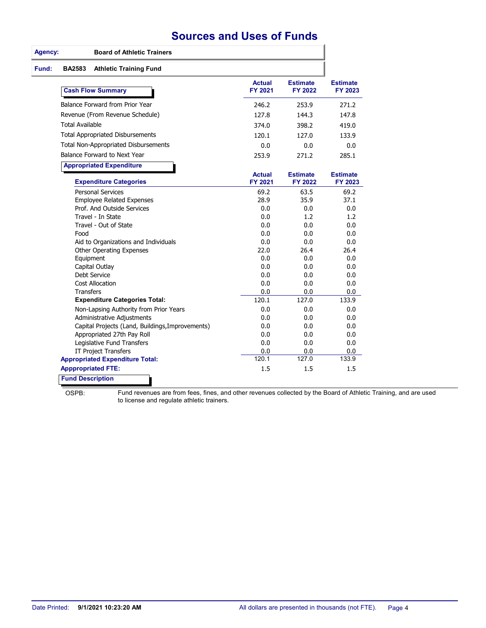### **Sources and Uses of Funds**

| Agency:                | <b>Board of Athletic Trainers</b>                                |                          |                            |                            |
|------------------------|------------------------------------------------------------------|--------------------------|----------------------------|----------------------------|
| Fund:<br><b>BA2583</b> | <b>Athletic Training Fund</b>                                    |                          |                            |                            |
|                        | <b>Cash Flow Summary</b>                                         | <b>Actual</b><br>FY 2021 | <b>Estimate</b><br>FY 2022 | <b>Estimate</b><br>FY 2023 |
|                        | Balance Forward from Prior Year                                  | 246.2                    | 253.9                      | 271.2                      |
|                        | Revenue (From Revenue Schedule)                                  | 127.8                    | 144.3                      | 147.8                      |
|                        | <b>Total Available</b>                                           | 374.0                    | 398.2                      | 419.0                      |
|                        | <b>Total Appropriated Disbursements</b>                          | 120.1                    | 127.0                      | 133.9                      |
|                        | Total Non-Appropriated Disbursements                             | 0.0                      | 0.0                        | 0.0                        |
|                        | Balance Forward to Next Year                                     | 253.9                    | 271.2                      | 285.1                      |
|                        |                                                                  |                          |                            |                            |
|                        | <b>Appropriated Expenditure</b><br><b>Expenditure Categories</b> | <b>Actual</b><br>FY 2021 | <b>Estimate</b><br>FY 2022 | <b>Estimate</b><br>FY 2023 |
|                        | <b>Personal Services</b>                                         | 69.2                     | 63.5                       | 69.2                       |
|                        | <b>Employee Related Expenses</b>                                 | 28.9                     | 35.9                       | 37.1                       |
|                        | Prof. And Outside Services                                       | 0.0                      | 0.0                        | 0.0                        |
|                        | Travel - In State                                                | 0.0                      | 1.2                        | 1.2                        |
|                        | Travel - Out of State                                            | 0.0                      | 0.0                        | 0.0                        |
|                        | Food                                                             | 0.0                      | 0.0                        | 0.0                        |
|                        | Aid to Organizations and Individuals                             | 0.0                      | 0.0                        | 0.0                        |
|                        | <b>Other Operating Expenses</b>                                  | 22.0                     | 26.4                       | 26.4                       |
|                        | Equipment                                                        | 0.0                      | 0.0                        | 0.0                        |
|                        | Capital Outlay                                                   | 0.0                      | 0.0                        | 0.0                        |
|                        | Debt Service<br><b>Cost Allocation</b>                           | 0.0<br>0.0               | 0.0<br>0.0                 | 0.0<br>0.0                 |
|                        | Transfers                                                        | 0.0                      | 0.0                        | 0.0                        |
|                        | <b>Expenditure Categories Total:</b>                             | 120.1                    | 127.0                      | 133.9                      |
|                        | Non-Lapsing Authority from Prior Years                           | 0.0                      | 0.0                        | 0.0                        |
|                        | Administrative Adjustments                                       | 0.0                      | 0.0                        | 0.0                        |
|                        | Capital Projects (Land, Buildings, Improvements)                 | 0.0                      | 0.0                        | 0.0                        |
|                        | Appropriated 27th Pay Roll                                       | 0.0                      | 0.0                        | 0.0                        |
|                        | Legislative Fund Transfers                                       | 0.0                      | 0.0                        | 0.0                        |
|                        | <b>IT Project Transfers</b>                                      | 0.0                      | 0.0                        | 0.0                        |
|                        | <b>Appropriated Expenditure Total:</b>                           | 120.1                    | 127.0                      | 133.9                      |
|                        | <b>Apppropriated FTE:</b>                                        | 1.5                      | 1.5                        | 1.5                        |
|                        | <b>Fund Description</b>                                          |                          |                            |                            |

OSPB:

Fund revenues are from fees, fines, and other revenues collected by the Board of Athletic Training, and are used to license and regulate athletic trainers.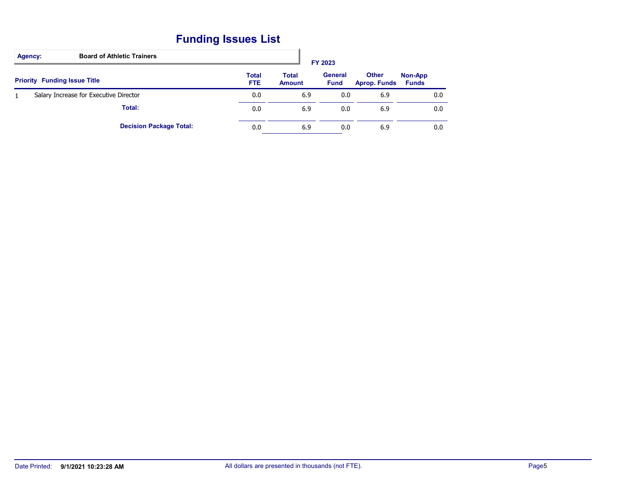# **Funding Issues List**

| <b>Board of Athletic Trainers</b><br>Agency: |                            |                               | FY 2023                       |                                     |                         |
|----------------------------------------------|----------------------------|-------------------------------|-------------------------------|-------------------------------------|-------------------------|
| <b>Priority Funding Issue Title</b>          | <b>Total</b><br><b>FTE</b> | <b>Total</b><br><b>Amount</b> | <b>General</b><br><b>Fund</b> | <b>Other</b><br><b>Aprop. Funds</b> | Non-App<br><b>Funds</b> |
| Salary Increase for Executive Director       | 0.0                        | 6.9                           | 0.0                           | 6.9                                 | 0.0                     |
| Total:                                       | 0.0                        | 6.9                           | 0.0                           | 6.9                                 | 0.0                     |
| <b>Decision Package Total:</b>               | 0.0                        | 6.9                           | 0.0                           | 6.9                                 | 0.0                     |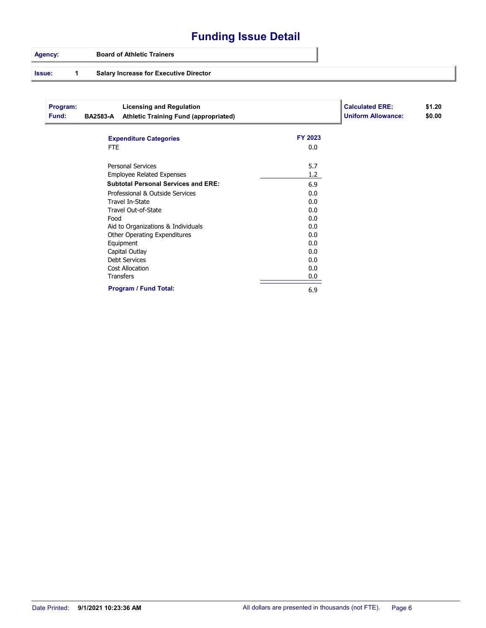# **Funding Issue Detail**

#### **Agency: Board of Athletic Trainers**

#### **Issue: 1 Salary Increase for Executive Director**

| Program:<br>Fund: | <b>BA2583-A</b> | <b>Licensing and Regulation</b><br><b>Athletic Training Fund (appropriated)</b> |         | <b>Calculated ERE:</b><br><b>Uniform Allowance:</b> | \$1.20<br>\$0.00 |
|-------------------|-----------------|---------------------------------------------------------------------------------|---------|-----------------------------------------------------|------------------|
|                   |                 | <b>Expenditure Categories</b>                                                   | FY 2023 |                                                     |                  |
|                   | FTE.            |                                                                                 | 0.0     |                                                     |                  |
|                   |                 | <b>Personal Services</b>                                                        | 5.7     |                                                     |                  |
|                   |                 | <b>Employee Related Expenses</b>                                                | 1.2     |                                                     |                  |
|                   |                 | <b>Subtotal Personal Services and ERE:</b>                                      | 6.9     |                                                     |                  |
|                   |                 | Professional & Outside Services                                                 | 0.0     |                                                     |                  |
|                   |                 | Travel In-State                                                                 | 0.0     |                                                     |                  |
|                   |                 | Travel Out-of-State                                                             | 0.0     |                                                     |                  |
|                   | Food            |                                                                                 | 0.0     |                                                     |                  |
|                   |                 | Aid to Organizations & Individuals                                              | 0.0     |                                                     |                  |
|                   |                 | Other Operating Expenditures                                                    | 0.0     |                                                     |                  |
|                   |                 | Equipment                                                                       | 0.0     |                                                     |                  |
|                   |                 | Capital Outlay                                                                  | 0.0     |                                                     |                  |
|                   |                 | <b>Debt Services</b>                                                            | 0.0     |                                                     |                  |
|                   |                 | <b>Cost Allocation</b>                                                          | 0.0     |                                                     |                  |
|                   |                 | <b>Transfers</b>                                                                | 0.0     |                                                     |                  |
|                   |                 | <b>Program / Fund Total:</b>                                                    | 6.9     |                                                     |                  |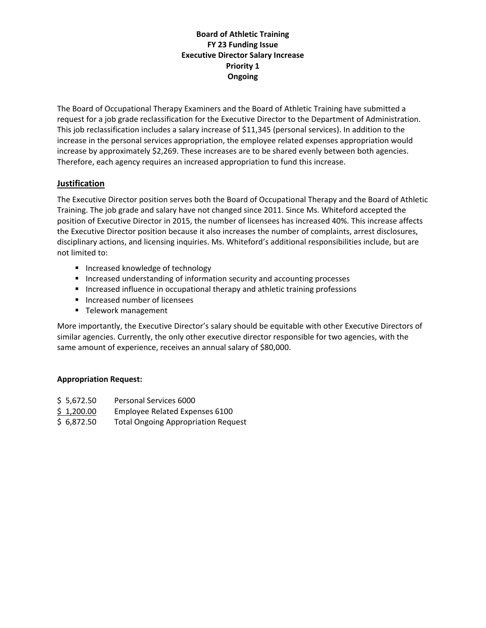#### **Board of Athletic Training FY 23 Funding Issue Executive Director Salary Increase Priority 1 Ongoing**

The Board of Occupational Therapy Examiners and the Board of Athletic Training have submitted a request for a job grade reclassification for the Executive Director to the Department of Administration. This job reclassification includes a salary increase of \$11,345 (personal services). In addition to the increase in the personal services appropriation, the employee related expenses appropriation would increase by approximately \$2,269. These increases are to be shared evenly between both agencies. Therefore, each agency requires an increased appropriation to fund this increase.

#### **Justification**

The Executive Director position serves both the Board of Occupational Therapy and the Board of Athletic Training. The job grade and salary have not changed since 2011. Since Ms. Whiteford accepted the position of Executive Director in 2015, the number of licensees has increased 40%. This increase affects the Executive Director position because it also increases the number of complaints, arrest disclosures, disciplinary actions, and licensing inquiries. Ms. Whiteford's additional responsibilities include, but are not limited to:

- **Increased knowledge of technology**
- **Increased understanding of information security and accounting processes**
- **Increased influence in occupational therapy and athletic training professions**
- Increased number of licensees
- **Telework management**

More importantly, the Executive Director's salary should be equitable with other Executive Directors of similar agencies. Currently, the only other executive director responsible for two agencies, with the same amount of experience, receives an annual salary of \$80,000.

#### **Appropriation Request:**

- \$ 5,672.50 Personal Services 6000
- \$ 1,200.00 Employee Related Expenses 6100
- \$ 6,872.50 Total Ongoing Appropriation Request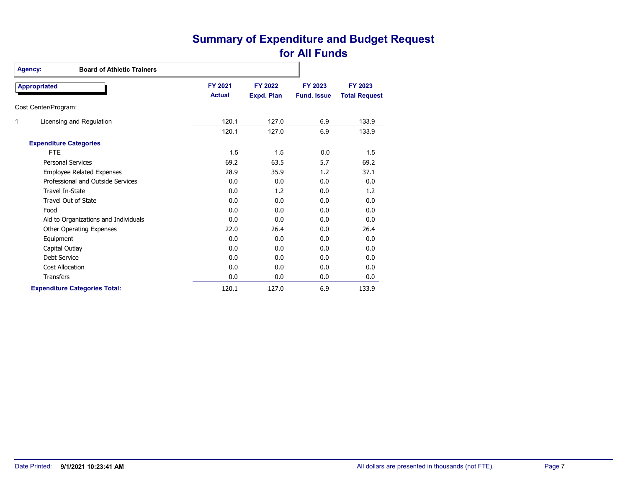### **Summary of Expenditure and Budget Request for All Funds**

| <b>Board of Athletic Trainers</b><br>Agency: |                          |                              |                               |                                 |
|----------------------------------------------|--------------------------|------------------------------|-------------------------------|---------------------------------|
| <b>Appropriated</b>                          | FY 2021<br><b>Actual</b> | FY 2022<br><b>Expd. Plan</b> | FY 2023<br><b>Fund. Issue</b> | FY 2023<br><b>Total Request</b> |
| Cost Center/Program:                         |                          |                              |                               |                                 |
| 1<br>Licensing and Regulation                | 120.1                    | 127.0                        | 6.9                           | 133.9                           |
|                                              | 120.1                    | 127.0                        | 6.9                           | 133.9                           |
| <b>Expenditure Categories</b>                |                          |                              |                               |                                 |
| <b>FTE</b>                                   | 1.5                      | 1.5                          | 0.0                           | 1.5                             |
| <b>Personal Services</b>                     | 69.2                     | 63.5                         | 5.7                           | 69.2                            |
| <b>Employee Related Expenses</b>             | 28.9                     | 35.9                         | 1.2                           | 37.1                            |
| Professional and Outside Services            | 0.0                      | 0.0                          | 0.0                           | 0.0                             |
| Travel In-State                              | 0.0                      | 1.2                          | 0.0                           | 1.2                             |
| Travel Out of State                          | 0.0                      | 0.0                          | 0.0                           | 0.0                             |
| Food                                         | 0.0                      | 0.0                          | 0.0                           | 0.0                             |
| Aid to Organizations and Individuals         | 0.0                      | 0.0                          | 0.0                           | 0.0                             |
| Other Operating Expenses                     | 22.0                     | 26.4                         | 0.0                           | 26.4                            |
| Equipment                                    | 0.0                      | 0.0                          | 0.0                           | 0.0                             |
| Capital Outlay                               | 0.0                      | 0.0                          | 0.0                           | 0.0                             |
| Debt Service                                 | 0.0                      | 0.0                          | 0.0                           | 0.0                             |
| <b>Cost Allocation</b>                       | 0.0                      | 0.0                          | 0.0                           | 0.0                             |
| <b>Transfers</b>                             | 0.0                      | 0.0                          | 0.0                           | 0.0                             |
| <b>Expenditure Categories Total:</b>         | 120.1                    | 127.0                        | 6.9                           | 133.9                           |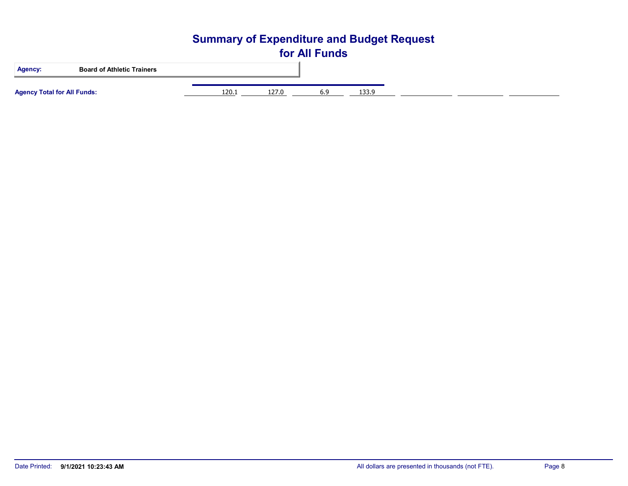# **Summary of Expenditure and Budget Request for All Funds Agency: Board of Athletic Trainers Agency Total for All Funds:** 120.1 127.0 6.9 133.9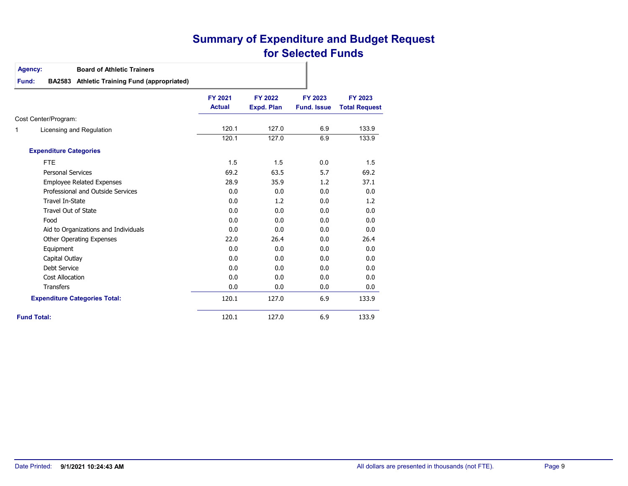### **Summary of Expenditure and Budget Request for Selected Funds**

#### **Agency: Board of Athletic Trainers**

#### **Fund:BA2583 Athletic Training Fund (appropriated)**

|   |                                      | <b>FY 2021</b><br><b>Actual</b> | <b>FY 2022</b><br>Expd. Plan | FY 2023<br><b>Fund, Issue</b> | FY 2023<br><b>Total Request</b> |
|---|--------------------------------------|---------------------------------|------------------------------|-------------------------------|---------------------------------|
|   | Cost Center/Program:                 |                                 |                              |                               |                                 |
| 1 | Licensing and Regulation             | 120.1                           | 127.0                        | 6.9                           | 133.9                           |
|   |                                      | 120.1                           | 127.0                        | 6.9                           | 133.9                           |
|   | <b>Expenditure Categories</b>        |                                 |                              |                               |                                 |
|   | <b>FTE</b>                           | 1.5                             | 1.5                          | 0.0                           | 1.5                             |
|   | <b>Personal Services</b>             | 69.2                            | 63.5                         | 5.7                           | 69.2                            |
|   | <b>Employee Related Expenses</b>     | 28.9                            | 35.9                         | 1.2                           | 37.1                            |
|   | Professional and Outside Services    | 0.0                             | 0.0                          | 0.0                           | 0.0                             |
|   | Travel In-State                      | 0.0                             | 1.2                          | 0.0                           | 1.2                             |
|   | <b>Travel Out of State</b>           | 0.0                             | 0.0                          | 0.0                           | 0.0                             |
|   | Food                                 | 0.0                             | 0.0                          | 0.0                           | 0.0                             |
|   | Aid to Organizations and Individuals | 0.0                             | 0.0                          | 0.0                           | 0.0                             |
|   | Other Operating Expenses             | 22.0                            | 26.4                         | 0.0                           | 26.4                            |
|   | Equipment                            | 0.0                             | 0.0                          | 0.0                           | 0.0                             |
|   | Capital Outlay                       | 0.0                             | 0.0                          | 0.0                           | 0.0                             |
|   | Debt Service                         | 0.0                             | 0.0                          | 0.0                           | 0.0                             |
|   | Cost Allocation                      | 0.0                             | 0.0                          | 0.0                           | 0.0                             |
|   | <b>Transfers</b>                     | 0.0                             | 0.0                          | 0.0                           | 0.0                             |
|   | <b>Expenditure Categories Total:</b> | 120.1                           | 127.0                        | 6.9                           | 133.9                           |
|   | <b>Fund Total:</b>                   | 120.1                           | 127.0                        | 6.9                           | 133.9                           |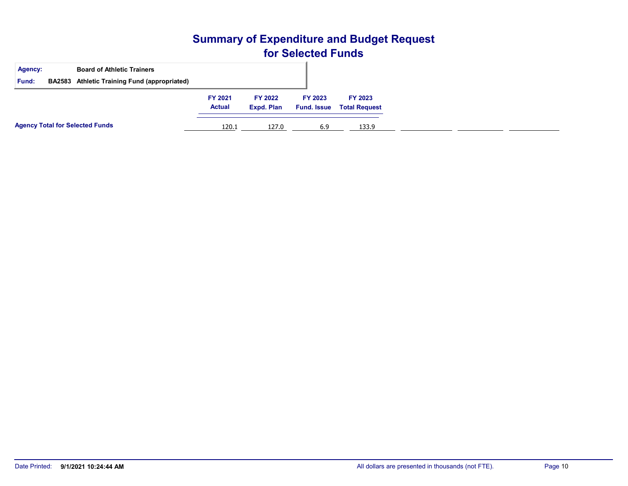### **Summary of Expenditure and Budget Request for Selected Funds**

| Agency:<br>Fund: | <b>Board of Athletic Trainers</b><br>BA2583 Athletic Training Fund (appropriated) |                          |                              |                               |                                 |
|------------------|-----------------------------------------------------------------------------------|--------------------------|------------------------------|-------------------------------|---------------------------------|
|                  |                                                                                   | FY 2021<br><b>Actual</b> | <b>FY 2022</b><br>Expd. Plan | FY 2023<br><b>Fund. Issue</b> | FY 2023<br><b>Total Request</b> |
|                  | <b>Agency Total for Selected Funds</b>                                            | 120.1                    | 127.0                        | 6.9                           | 133.9                           |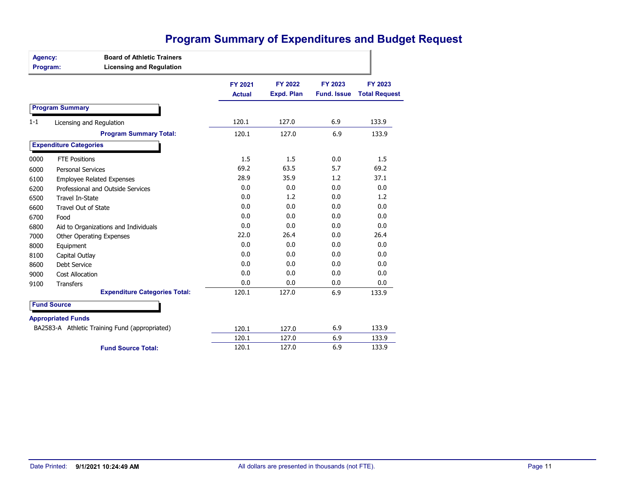# **Program Summary of Expenditures and Budget Request**

| Agency:<br>Program: | <b>Board of Athletic Trainers</b><br><b>Licensing and Regulation</b> |                          |                              |                               |                                 |
|---------------------|----------------------------------------------------------------------|--------------------------|------------------------------|-------------------------------|---------------------------------|
|                     |                                                                      | FY 2021<br><b>Actual</b> | FY 2022<br><b>Expd. Plan</b> | FY 2023<br><b>Fund. Issue</b> | FY 2023<br><b>Total Request</b> |
|                     | <b>Program Summary</b>                                               |                          |                              |                               |                                 |
| $1 - 1$             | Licensing and Regulation                                             | 120.1                    | 127.0                        | 6.9                           | 133.9                           |
|                     | <b>Program Summary Total:</b>                                        | 120.1                    | 127.0                        | 6.9                           | 133.9                           |
|                     | <b>Expenditure Categories</b>                                        |                          |                              |                               |                                 |
| 0000                | <b>FTE Positions</b>                                                 | 1.5                      | 1.5                          | 0.0                           | 1.5                             |
| 6000                | <b>Personal Services</b>                                             | 69.2                     | 63.5                         | 5.7                           | 69.2                            |
| 6100                | <b>Employee Related Expenses</b>                                     | 28.9                     | 35.9                         | 1.2                           | 37.1                            |
| 6200                | Professional and Outside Services                                    | 0.0                      | 0.0                          | 0.0                           | 0.0                             |
| 6500                | <b>Travel In-State</b>                                               | 0.0                      | 1.2                          | 0.0                           | 1.2                             |
| 6600                | Travel Out of State                                                  | 0.0                      | 0.0                          | 0.0                           | 0.0                             |
| 6700                | Food                                                                 | 0.0                      | 0.0                          | 0.0                           | 0.0                             |
| 6800                | Aid to Organizations and Individuals                                 | 0.0                      | 0.0                          | 0.0                           | 0.0                             |
| 7000                | Other Operating Expenses                                             | 22.0                     | 26.4                         | 0.0                           | 26.4                            |
| 8000                | Equipment                                                            | 0.0                      | 0.0                          | 0.0                           | 0.0                             |
| 8100                | Capital Outlay                                                       | 0.0                      | 0.0                          | 0.0                           | 0.0                             |
| 8600                | Debt Service                                                         | 0.0                      | 0.0                          | 0.0                           | 0.0                             |
| 9000                | Cost Allocation                                                      | 0.0                      | 0.0                          | 0.0                           | 0.0                             |
| 9100                | <b>Transfers</b>                                                     | 0.0                      | 0.0                          | 0.0                           | 0.0                             |
|                     | <b>Expenditure Categories Total:</b>                                 | 120.1                    | 127.0                        | 6.9                           | 133.9                           |
|                     | <b>Fund Source</b>                                                   |                          |                              |                               |                                 |
|                     | <b>Appropriated Funds</b>                                            |                          |                              |                               |                                 |
|                     | BA2583-A Athletic Training Fund (appropriated)                       | 120.1                    | 127.0                        | 6.9                           | 133.9                           |
|                     |                                                                      | 120.1                    | 127.0                        | 6.9                           | 133.9                           |
|                     | <b>Fund Source Total:</b>                                            | 120.1                    | 127.0                        | 6.9                           | 133.9                           |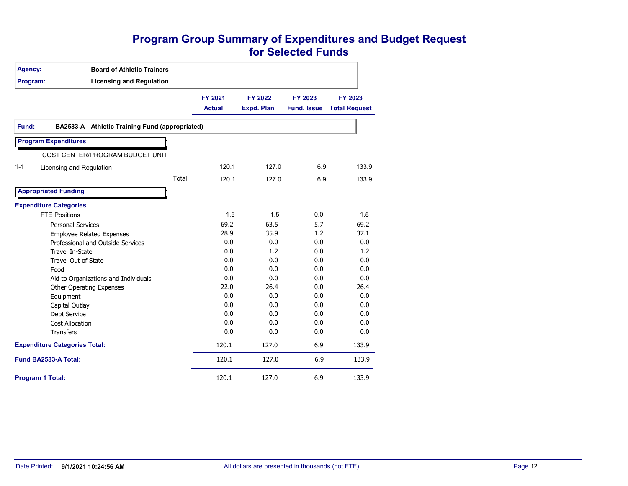### **Program Group Summary of Expenditures and Budget Request for Selected Funds**

| Agency:                              | <b>Board of Athletic Trainers</b>              |                          |                              |                               |                                 |
|--------------------------------------|------------------------------------------------|--------------------------|------------------------------|-------------------------------|---------------------------------|
| Program:                             | <b>Licensing and Regulation</b>                |                          |                              |                               |                                 |
|                                      |                                                | FY 2021<br><b>Actual</b> | FY 2022<br><b>Expd. Plan</b> | FY 2023<br><b>Fund. Issue</b> | FY 2023<br><b>Total Request</b> |
| Fund:                                | BA2583-A Athletic Training Fund (appropriated) |                          |                              |                               |                                 |
| <b>Program Expenditures</b>          |                                                |                          |                              |                               |                                 |
|                                      | COST CENTER/PROGRAM BUDGET UNIT                |                          |                              |                               |                                 |
| $1 - 1$                              | Licensing and Regulation                       | 120.1                    | 127.0                        | 6.9                           | 133.9                           |
|                                      | Total                                          | 120.1                    | 127.0                        | 6.9                           | 133.9                           |
| <b>Appropriated Funding</b>          |                                                |                          |                              |                               |                                 |
| <b>Expenditure Categories</b>        |                                                |                          |                              |                               |                                 |
| <b>FTE Positions</b>                 |                                                | 1.5                      | 1.5                          | 0.0                           | 1.5                             |
| <b>Personal Services</b>             |                                                | 69.2                     | 63.5                         | 5.7                           | 69.2                            |
|                                      | <b>Employee Related Expenses</b>               | 28.9                     | 35.9                         | 1.2                           | 37.1                            |
|                                      | Professional and Outside Services              | 0.0                      | 0.0                          | 0.0                           | 0.0                             |
| <b>Travel In-State</b>               |                                                | 0.0                      | 1.2                          | 0.0                           | 1.2                             |
|                                      | Travel Out of State                            | 0.0                      | 0.0                          | 0.0                           | 0.0                             |
| Food                                 |                                                | 0.0                      | 0.0                          | 0.0                           | 0.0                             |
|                                      | Aid to Organizations and Individuals           | 0.0                      | 0.0                          | 0.0                           | 0.0                             |
|                                      | <b>Other Operating Expenses</b>                | 22.0                     | 26.4                         | 0.0                           | 26.4                            |
| Equipment                            |                                                | 0.0                      | 0.0                          | 0.0                           | 0.0                             |
| Capital Outlay                       |                                                | 0.0                      | 0.0                          | 0.0                           | 0.0                             |
| Debt Service                         |                                                | 0.0                      | 0.0                          | 0.0                           | 0.0                             |
| <b>Cost Allocation</b>               |                                                | 0.0                      | 0.0                          | 0.0                           | 0.0                             |
| <b>Transfers</b>                     |                                                | 0.0                      | 0.0                          | 0.0                           | 0.0                             |
| <b>Expenditure Categories Total:</b> |                                                | 120.1                    | 127.0                        | 6.9                           | 133.9                           |
| Fund BA2583-A Total:                 |                                                | 120.1                    | 127.0                        | 6.9                           | 133.9                           |
| <b>Program 1 Total:</b>              |                                                | 120.1                    | 127.0                        | 6.9                           | 133.9                           |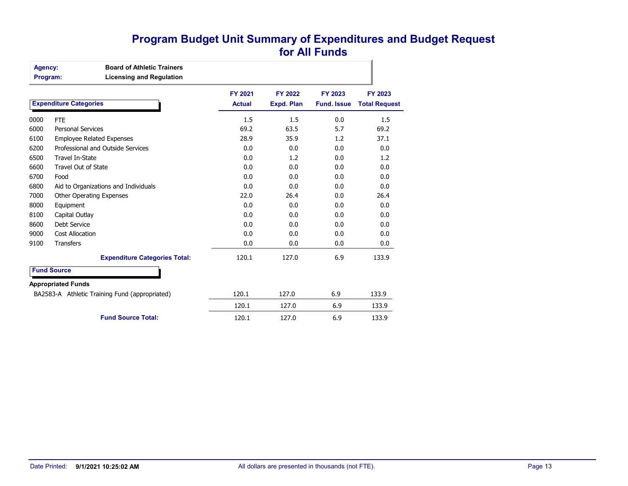### **Program Budget Unit Summary of Expenditures and Budget Request for All Funds**

| <b>Agency:</b> | <b>Board of Athletic Trainers</b> |  |
|----------------|-----------------------------------|--|
| Program:       | <b>Licensing and Regulation</b>   |  |
|                |                                   |  |

|      |                                                | FY 2021       | FY 2022    | FY 2023            | FY 2023              |
|------|------------------------------------------------|---------------|------------|--------------------|----------------------|
|      | <b>Expenditure Categories</b>                  | <b>Actual</b> | Expd. Plan | <b>Fund, Issue</b> | <b>Total Request</b> |
| 0000 | <b>FTE</b>                                     | 1.5           | 1.5        | 0.0                | 1.5                  |
| 6000 | <b>Personal Services</b>                       | 69.2          | 63.5       | 5.7                | 69.2                 |
| 6100 | <b>Employee Related Expenses</b>               | 28.9          | 35.9       | 1.2                | 37.1                 |
| 6200 | Professional and Outside Services              | 0.0           | 0.0        | 0.0                | 0.0                  |
| 6500 | Travel In-State                                | 0.0           | 1.2        | 0.0                | 1.2                  |
| 6600 | <b>Travel Out of State</b>                     | 0.0           | 0.0        | 0.0                | 0.0                  |
| 6700 | Food                                           | 0.0           | 0.0        | 0.0                | 0.0                  |
| 6800 | Aid to Organizations and Individuals           | 0.0           | 0.0        | 0.0                | 0.0                  |
| 7000 | Other Operating Expenses                       | 22.0          | 26.4       | 0.0                | 26.4                 |
| 8000 | Equipment                                      | 0.0           | 0.0        | 0.0                | 0.0                  |
| 8100 | Capital Outlay                                 | 0.0           | 0.0        | 0.0                | 0.0                  |
| 8600 | Debt Service                                   | 0.0           | 0.0        | 0.0                | 0.0                  |
| 9000 | <b>Cost Allocation</b>                         | 0.0           | 0.0        | 0.0                | 0.0                  |
| 9100 | <b>Transfers</b>                               | 0.0           | 0.0        | 0.0                | 0.0                  |
|      | <b>Expenditure Categories Total:</b>           | 120.1         | 127.0      | 6.9                | 133.9                |
|      | <b>Fund Source</b>                             |               |            |                    |                      |
|      | <b>Appropriated Funds</b>                      |               |            |                    |                      |
|      | BA2583-A Athletic Training Fund (appropriated) | 120.1         | 127.0      | 6.9                | 133.9                |
|      |                                                | 120.1         | 127.0      | 6.9                | 133.9                |
|      | <b>Fund Source Total:</b>                      | 120.1         | 127.0      | 6.9                | 133.9                |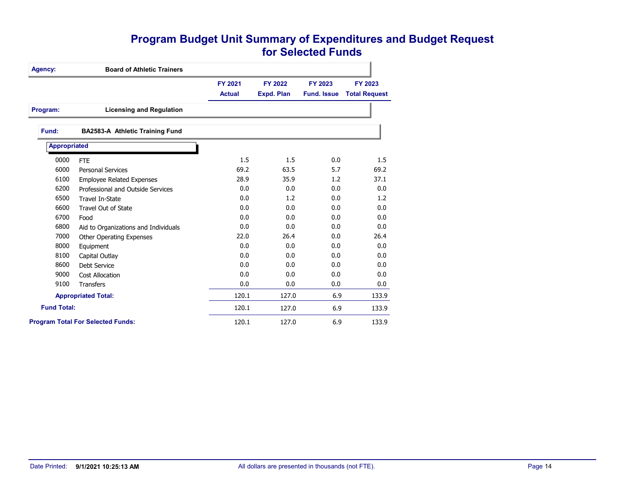### **Program Budget Unit Summary of Expenditures and Budget Request for Selected Funds**

| Agency:             | <b>Board of Athletic Trainers</b>        |               |            |                    |                      |
|---------------------|------------------------------------------|---------------|------------|--------------------|----------------------|
|                     |                                          | FY 2021       | FY 2022    | FY 2023            | FY 2023              |
|                     |                                          | <b>Actual</b> | Expd. Plan | <b>Fund, Issue</b> | <b>Total Request</b> |
| Program:            | <b>Licensing and Regulation</b>          |               |            |                    |                      |
| Fund:               | BA2583-A Athletic Training Fund          |               |            |                    |                      |
| <b>Appropriated</b> |                                          |               |            |                    |                      |
| 0000                | <b>FTE</b>                               | 1.5           | 1.5        | 0.0                | 1.5                  |
| 6000                | <b>Personal Services</b>                 | 69.2          | 63.5       | 5.7                | 69.2                 |
| 6100                | <b>Employee Related Expenses</b>         | 28.9          | 35.9       | 1.2                | 37.1                 |
| 6200                | Professional and Outside Services        | 0.0           | 0.0        | 0.0                | 0.0                  |
| 6500                | Travel In-State                          | 0.0           | 1.2        | 0.0                | 1.2                  |
| 6600                | Travel Out of State                      | 0.0           | 0.0        | 0.0                | 0.0                  |
| 6700                | Food                                     | 0.0           | 0.0        | 0.0                | 0.0                  |
| 6800                | Aid to Organizations and Individuals     | 0.0           | 0.0        | 0.0                | 0.0                  |
| 7000                | <b>Other Operating Expenses</b>          | 22.0          | 26.4       | 0.0                | 26.4                 |
| 8000                | Equipment                                | 0.0           | 0.0        | 0.0                | 0.0                  |
| 8100                | Capital Outlay                           | 0.0           | 0.0        | 0.0                | 0.0                  |
| 8600                | Debt Service                             | 0.0           | 0.0        | 0.0                | 0.0                  |
| 9000                | <b>Cost Allocation</b>                   | 0.0           | 0.0        | 0.0                | 0.0                  |
| 9100                | <b>Transfers</b>                         | 0.0           | 0.0        | 0.0                | 0.0                  |
|                     | <b>Appropriated Total:</b>               | 120.1         | 127.0      | 6.9                | 133.9                |
| <b>Fund Total:</b>  |                                          | 120.1         | 127.0      | 6.9                | 133.9                |
|                     | <b>Program Total For Selected Funds:</b> | 120.1         | 127.0      | 6.9                | 133.9                |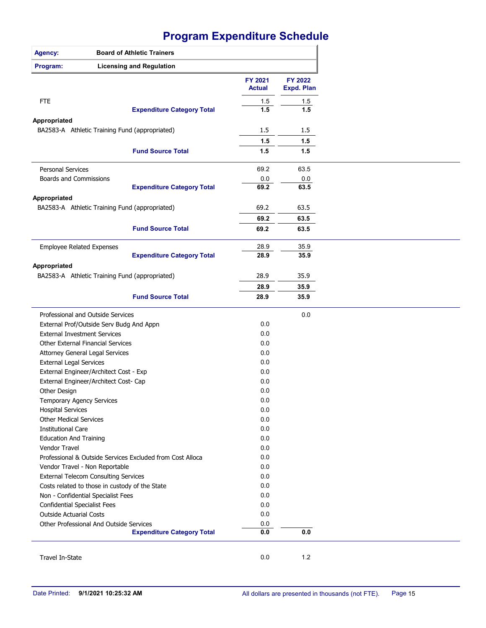| Agency:                                                        | <b>Board of Athletic Trainers</b>                         |                          |                              |
|----------------------------------------------------------------|-----------------------------------------------------------|--------------------------|------------------------------|
| Program:                                                       | <b>Licensing and Regulation</b>                           |                          |                              |
|                                                                |                                                           | FY 2021<br><b>Actual</b> | FY 2022<br><b>Expd. Plan</b> |
| <b>FTE</b>                                                     |                                                           | 1.5                      | 1.5                          |
|                                                                | <b>Expenditure Category Total</b>                         | 1.5                      | 1.5                          |
| Appropriated                                                   |                                                           |                          |                              |
| BA2583-A Athletic Training Fund (appropriated)                 |                                                           | 1.5                      | 1.5                          |
|                                                                |                                                           | 1.5                      | 1.5                          |
|                                                                | <b>Fund Source Total</b>                                  | 1.5                      | 1.5                          |
| <b>Personal Services</b>                                       |                                                           | 69.2                     | 63.5                         |
| Boards and Commissions                                         |                                                           | 0.0                      | 0.0                          |
|                                                                | <b>Expenditure Category Total</b>                         | 69.2                     | 63.5                         |
| Appropriated<br>BA2583-A Athletic Training Fund (appropriated) |                                                           | 69.2                     | 63.5                         |
|                                                                |                                                           |                          |                              |
|                                                                |                                                           | 69.2                     | 63.5                         |
|                                                                | <b>Fund Source Total</b>                                  | 69.2                     | 63.5                         |
| <b>Employee Related Expenses</b>                               |                                                           | 28.9                     | 35.9                         |
|                                                                | <b>Expenditure Category Total</b>                         | 28.9                     | 35.9                         |
| Appropriated                                                   |                                                           |                          |                              |
| BA2583-A Athletic Training Fund (appropriated)                 |                                                           | 28.9                     | 35.9                         |
|                                                                |                                                           | 28.9                     | 35.9                         |
|                                                                | <b>Fund Source Total</b>                                  | 28.9                     | 35.9                         |
| Professional and Outside Services                              |                                                           |                          | 0.0                          |
| External Prof/Outside Serv Budg And Appn                       |                                                           | 0.0                      |                              |
| <b>External Investment Services</b>                            |                                                           | 0.0                      |                              |
| Other External Financial Services                              |                                                           | 0.0                      |                              |
| Attorney General Legal Services                                |                                                           | 0.0                      |                              |
| <b>External Legal Services</b>                                 |                                                           | 0.0                      |                              |
| External Engineer/Architect Cost - Exp                         |                                                           | 0.0                      |                              |
| External Engineer/Architect Cost- Cap                          |                                                           | 0.0                      |                              |
| Other Design                                                   |                                                           | 0.0                      |                              |
| Temporary Agency Services                                      |                                                           | 0.0                      |                              |
| <b>Hospital Services</b>                                       |                                                           | 0.0                      |                              |
| <b>Other Medical Services</b>                                  |                                                           | 0.0                      |                              |
| <b>Institutional Care</b>                                      |                                                           | 0.0                      |                              |
| <b>Education And Training</b>                                  |                                                           | 0.0                      |                              |
| Vendor Travel                                                  |                                                           | 0.0                      |                              |
|                                                                | Professional & Outside Services Excluded from Cost Alloca | 0.0                      |                              |
| Vendor Travel - Non Reportable                                 |                                                           | 0.0                      |                              |
| <b>External Telecom Consulting Services</b>                    |                                                           | 0.0                      |                              |
| Costs related to those in custody of the State                 |                                                           | 0.0                      |                              |
| Non - Confidential Specialist Fees                             |                                                           | 0.0                      |                              |
| <b>Confidential Specialist Fees</b>                            |                                                           | 0.0                      |                              |
| <b>Outside Actuarial Costs</b>                                 |                                                           | 0.0                      |                              |
| Other Professional And Outside Services                        |                                                           | 0.0                      |                              |
|                                                                | <b>Expenditure Category Total</b>                         | $0.0\,$                  | $0.0\,$                      |
|                                                                |                                                           |                          |                              |
| Travel In-State                                                |                                                           | 0.0                      | $1.2$                        |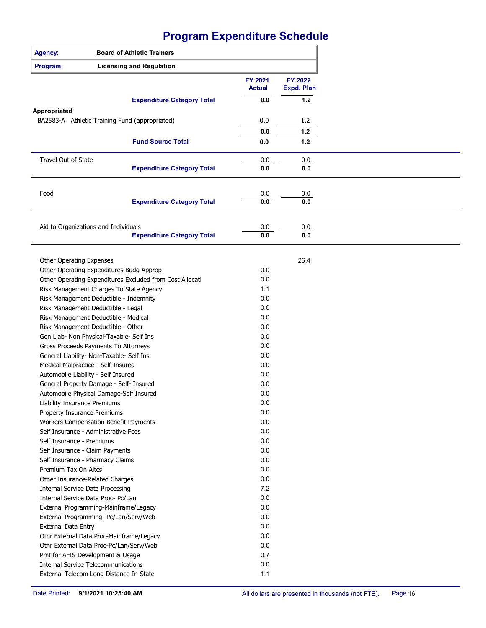| <b>Agency:</b>                                                                 | <b>Board of Athletic Trainers</b>                        |                          |                              |
|--------------------------------------------------------------------------------|----------------------------------------------------------|--------------------------|------------------------------|
| Program:                                                                       | <b>Licensing and Regulation</b>                          |                          |                              |
|                                                                                |                                                          | FY 2021<br><b>Actual</b> | FY 2022<br><b>Expd. Plan</b> |
|                                                                                | <b>Expenditure Category Total</b>                        | 0.0                      | $1.2$                        |
| Appropriated                                                                   |                                                          |                          |                              |
|                                                                                | BA2583-A Athletic Training Fund (appropriated)           | 0.0                      | 1.2                          |
|                                                                                |                                                          | 0.0                      | $1.2$                        |
|                                                                                | <b>Fund Source Total</b>                                 | 0.0                      | $1.2$                        |
| <b>Travel Out of State</b>                                                     |                                                          | 0.0                      | 0.0                          |
|                                                                                | <b>Expenditure Category Total</b>                        | 0.0                      | 0.0                          |
|                                                                                |                                                          |                          |                              |
| Food                                                                           | <b>Expenditure Category Total</b>                        | 0.0<br>0.0               | 0.0<br>0.0                   |
|                                                                                |                                                          |                          |                              |
|                                                                                |                                                          |                          |                              |
| Aid to Organizations and Individuals                                           |                                                          | 0.0                      | 0.0                          |
|                                                                                | <b>Expenditure Category Total</b>                        | 0.0                      | 0.0                          |
|                                                                                |                                                          |                          |                              |
| Other Operating Expenses                                                       |                                                          |                          | 26.4                         |
|                                                                                | Other Operating Expenditures Budg Approp                 | 0.0                      |                              |
|                                                                                | Other Operating Expenditures Excluded from Cost Allocati | 0.0                      |                              |
|                                                                                | Risk Management Charges To State Agency                  | 1.1                      |                              |
|                                                                                | Risk Management Deductible - Indemnity                   | 0.0                      |                              |
| Risk Management Deductible - Legal                                             |                                                          | 0.0                      |                              |
|                                                                                | Risk Management Deductible - Medical                     | 0.0                      |                              |
| Risk Management Deductible - Other                                             |                                                          | 0.0                      |                              |
|                                                                                | Gen Liab- Non Physical-Taxable- Self Ins                 | 0.0                      |                              |
|                                                                                | Gross Proceeds Payments To Attorneys                     | 0.0                      |                              |
|                                                                                | General Liability- Non-Taxable- Self Ins                 | 0.0                      |                              |
| Medical Malpractice - Self-Insured                                             |                                                          | 0.0                      |                              |
| Automobile Liability - Self Insured                                            |                                                          | 0.0                      |                              |
|                                                                                | General Property Damage - Self- Insured                  | 0.0                      |                              |
|                                                                                | Automobile Physical Damage-Self Insured                  | 0.0                      |                              |
| Liability Insurance Premiums                                                   |                                                          | 0.0                      |                              |
| Property Insurance Premiums                                                    |                                                          | 0.0                      |                              |
|                                                                                | Workers Compensation Benefit Payments                    | 0.0                      |                              |
| Self Insurance - Administrative Fees                                           |                                                          | 0.0                      |                              |
| Self Insurance - Premiums                                                      |                                                          | 0.0                      |                              |
| Self Insurance - Claim Payments                                                |                                                          | 0.0                      |                              |
| Self Insurance - Pharmacy Claims                                               |                                                          | 0.0                      |                              |
| Premium Tax On Altcs                                                           |                                                          | 0.0                      |                              |
| Other Insurance-Related Charges                                                |                                                          | 0.0                      |                              |
| <b>Internal Service Data Processing</b>                                        |                                                          | 7.2                      |                              |
| Internal Service Data Proc- Pc/Lan                                             |                                                          | 0.0                      |                              |
|                                                                                | External Programming-Mainframe/Legacy                    | 0.0                      |                              |
|                                                                                | External Programming- Pc/Lan/Serv/Web                    | 0.0                      |                              |
| <b>External Data Entry</b>                                                     |                                                          | 0.0                      |                              |
|                                                                                |                                                          | 0.0                      |                              |
|                                                                                | Othr External Data Proc-Mainframe/Legacy                 | 0.0                      |                              |
|                                                                                | Othr External Data Proc-Pc/Lan/Serv/Web                  | 0.7                      |                              |
| Pmt for AFIS Development & Usage<br><b>Internal Service Telecommunications</b> |                                                          | 0.0                      |                              |
|                                                                                |                                                          |                          |                              |
|                                                                                | External Telecom Long Distance-In-State                  | 1.1                      |                              |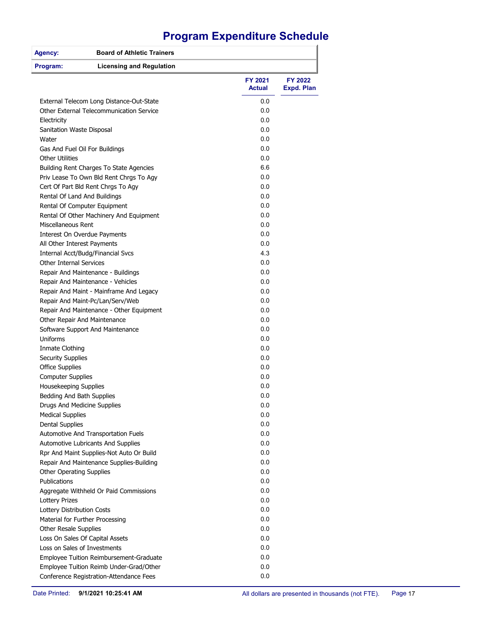| <b>Agency:</b>                      | <b>Board of Athletic Trainers</b>        |                   |                              |
|-------------------------------------|------------------------------------------|-------------------|------------------------------|
| Program:                            | <b>Licensing and Regulation</b>          |                   |                              |
|                                     |                                          | FY 2021<br>Actual | FY 2022<br><b>Expd. Plan</b> |
|                                     | External Telecom Long Distance-Out-State | 0.0               |                              |
|                                     | Other External Telecommunication Service | 0.0               |                              |
| Electricity                         |                                          | 0.0               |                              |
| Sanitation Waste Disposal           |                                          | 0.0               |                              |
| Water                               |                                          | 0.0               |                              |
| Gas And Fuel Oil For Buildings      |                                          | 0.0               |                              |
| <b>Other Utilities</b>              |                                          | 0.0               |                              |
|                                     | Building Rent Charges To State Agencies  | 6.6               |                              |
|                                     | Priv Lease To Own Bld Rent Chrgs To Agy  | 0.0               |                              |
| Cert Of Part Bld Rent Chrgs To Agy  |                                          | 0.0               |                              |
| Rental Of Land And Buildings        |                                          | 0.0               |                              |
| Rental Of Computer Equipment        |                                          | 0.0               |                              |
|                                     | Rental Of Other Machinery And Equipment  | 0.0               |                              |
| <b>Miscellaneous Rent</b>           |                                          | 0.0               |                              |
| <b>Interest On Overdue Payments</b> |                                          | 0.0               |                              |
| All Other Interest Payments         |                                          | 0.0               |                              |
| Internal Acct/Budg/Financial Svcs   |                                          | 4.3               |                              |
| <b>Other Internal Services</b>      |                                          | 0.0               |                              |
| Repair And Maintenance - Buildings  |                                          | 0.0               |                              |
| Repair And Maintenance - Vehicles   |                                          | 0.0               |                              |
|                                     | Repair And Maint - Mainframe And Legacy  | 0.0               |                              |
| Repair And Maint-Pc/Lan/Serv/Web    |                                          | 0.0               |                              |
|                                     | Repair And Maintenance - Other Equipment | 0.0               |                              |
| Other Repair And Maintenance        |                                          | 0.0               |                              |
| Software Support And Maintenance    |                                          | 0.0               |                              |
| Uniforms                            |                                          | 0.0               |                              |
| Inmate Clothing                     |                                          | 0.0               |                              |
| <b>Security Supplies</b>            |                                          | 0.0               |                              |
| <b>Office Supplies</b>              |                                          | 0.0               |                              |
| <b>Computer Supplies</b>            |                                          | 0.0               |                              |
| Housekeeping Supplies               |                                          | 0.0               |                              |
| Bedding And Bath Supplies           |                                          | 0.0               |                              |
| Drugs And Medicine Supplies         |                                          | 0.0               |                              |
| <b>Medical Supplies</b>             |                                          | 0.0               |                              |
| <b>Dental Supplies</b>              |                                          | 0.0               |                              |
| Automotive And Transportation Fuels |                                          | 0.0               |                              |
| Automotive Lubricants And Supplies  |                                          | 0.0               |                              |
|                                     | Rpr And Maint Supplies-Not Auto Or Build | 0.0               |                              |
|                                     | Repair And Maintenance Supplies-Building | 0.0               |                              |
| Other Operating Supplies            |                                          | 0.0               |                              |
| Publications                        |                                          | 0.0               |                              |
|                                     | Aggregate Withheld Or Paid Commissions   | 0.0               |                              |
| <b>Lottery Prizes</b>               |                                          | 0.0               |                              |
| Lottery Distribution Costs          |                                          | 0.0               |                              |
| Material for Further Processing     |                                          | 0.0               |                              |
| Other Resale Supplies               |                                          | 0.0               |                              |
| Loss On Sales Of Capital Assets     |                                          | 0.0               |                              |
| Loss on Sales of Investments        |                                          | 0.0               |                              |
|                                     | Employee Tuition Reimbursement-Graduate  | 0.0               |                              |
|                                     | Employee Tuition Reimb Under-Grad/Other  | 0.0               |                              |
|                                     | Conference Registration-Attendance Fees  | 0.0               |                              |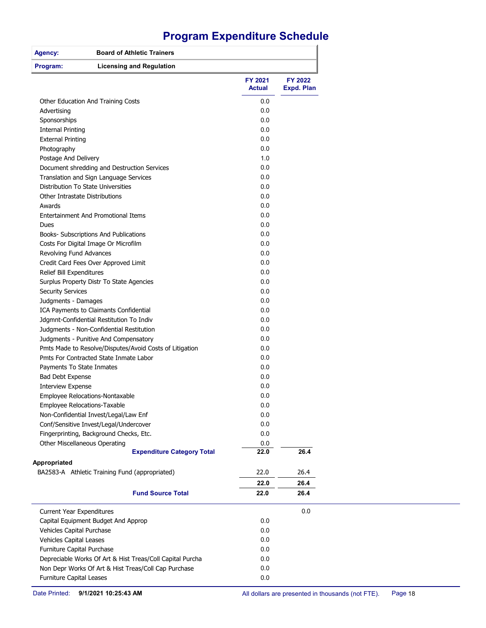| <b>Board of Athletic Trainers</b><br><b>Agency:</b>       |                          |                              |
|-----------------------------------------------------------|--------------------------|------------------------------|
| Program:<br><b>Licensing and Regulation</b>               |                          |                              |
|                                                           | FY 2021<br><b>Actual</b> | FY 2022<br><b>Expd. Plan</b> |
| Other Education And Training Costs                        | 0.0                      |                              |
| Advertising                                               | 0.0                      |                              |
| Sponsorships                                              | 0.0                      |                              |
| <b>Internal Printing</b>                                  | 0.0                      |                              |
| <b>External Printing</b>                                  | 0.0                      |                              |
| Photography                                               | 0.0                      |                              |
| Postage And Delivery                                      | 1.0                      |                              |
| Document shredding and Destruction Services               | 0.0                      |                              |
| Translation and Sign Language Services                    | 0.0                      |                              |
| Distribution To State Universities                        | 0.0                      |                              |
| Other Intrastate Distributions                            | 0.0                      |                              |
| Awards                                                    | 0.0                      |                              |
| <b>Entertainment And Promotional Items</b>                | 0.0                      |                              |
| Dues                                                      | 0.0                      |                              |
| Books- Subscriptions And Publications                     | 0.0                      |                              |
| Costs For Digital Image Or Microfilm                      | 0.0                      |                              |
| Revolving Fund Advances                                   | 0.0                      |                              |
| Credit Card Fees Over Approved Limit                      | 0.0                      |                              |
| Relief Bill Expenditures                                  | 0.0                      |                              |
| Surplus Property Distr To State Agencies                  | 0.0                      |                              |
| <b>Security Services</b>                                  | 0.0                      |                              |
| Judgments - Damages                                       | 0.0                      |                              |
| ICA Payments to Claimants Confidential                    | 0.0                      |                              |
| Jdgmnt-Confidential Restitution To Indiv                  | 0.0                      |                              |
| Judgments - Non-Confidential Restitution                  | 0.0                      |                              |
| Judgments - Punitive And Compensatory                     | 0.0                      |                              |
| Pmts Made to Resolve/Disputes/Avoid Costs of Litigation   | 0.0                      |                              |
| Pmts For Contracted State Inmate Labor                    | 0.0                      |                              |
| Payments To State Inmates                                 | 0.0                      |                              |
| Bad Debt Expense                                          | 0.0                      |                              |
| <b>Interview Expense</b>                                  | 0.0                      |                              |
| Employee Relocations-Nontaxable                           | 0.0                      |                              |
| Employee Relocations-Taxable                              | 0.0                      |                              |
| Non-Confidential Invest/Legal/Law Enf                     | 0.0                      |                              |
| Conf/Sensitive Invest/Legal/Undercover                    | 0.0                      |                              |
| Fingerprinting, Background Checks, Etc.                   | 0.0                      |                              |
| Other Miscellaneous Operating                             | 0.0                      |                              |
| <b>Expenditure Category Total</b>                         | 22.0                     | 26.4                         |
| Appropriated                                              |                          |                              |
| BA2583-A Athletic Training Fund (appropriated)            | 22.0                     | 26.4                         |
|                                                           | 22.0                     | 26.4                         |
| <b>Fund Source Total</b>                                  | 22.0                     | 26.4                         |
| <b>Current Year Expenditures</b>                          |                          | 0.0                          |
| Capital Equipment Budget And Approp                       | 0.0                      |                              |
| Vehicles Capital Purchase                                 | 0.0                      |                              |
| Vehicles Capital Leases                                   | 0.0                      |                              |
| Furniture Capital Purchase                                | 0.0                      |                              |
| Depreciable Works Of Art & Hist Treas/Coll Capital Purcha | 0.0                      |                              |
| Non Depr Works Of Art & Hist Treas/Coll Cap Purchase      | 0.0                      |                              |
| Furniture Capital Leases                                  | 0.0                      |                              |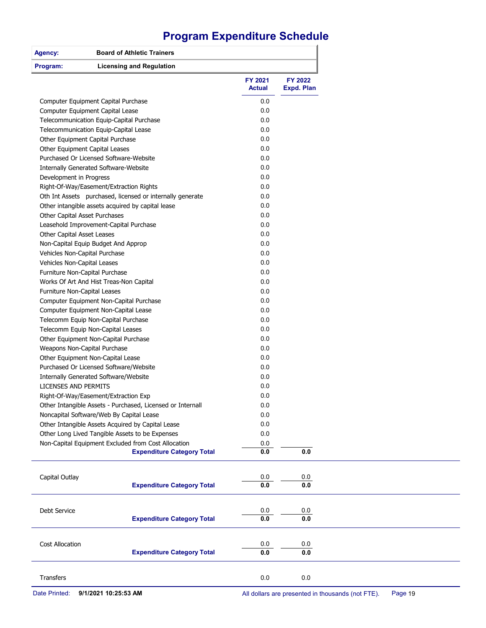| Agency:                           | <b>Board of Athletic Trainers</b>                          |                          |                              |
|-----------------------------------|------------------------------------------------------------|--------------------------|------------------------------|
| Program:                          | <b>Licensing and Regulation</b>                            |                          |                              |
|                                   |                                                            | FY 2021<br><b>Actual</b> | FY 2022<br><b>Expd. Plan</b> |
|                                   | Computer Equipment Capital Purchase                        | 0.0                      |                              |
| Computer Equipment Capital Lease  |                                                            | 0.0                      |                              |
|                                   | Telecommunication Equip-Capital Purchase                   | 0.0                      |                              |
|                                   | Telecommunication Equip-Capital Lease                      | 0.0                      |                              |
| Other Equipment Capital Purchase  |                                                            | 0.0                      |                              |
| Other Equipment Capital Leases    |                                                            | 0.0                      |                              |
|                                   | Purchased Or Licensed Software-Website                     | 0.0                      |                              |
|                                   | Internally Generated Software-Website                      | 0.0                      |                              |
| Development in Progress           |                                                            | 0.0                      |                              |
|                                   | Right-Of-Way/Easement/Extraction Rights                    | 0.0                      |                              |
|                                   | Oth Int Assets purchased, licensed or internally generate  | 0.0                      |                              |
|                                   | Other intangible assets acquired by capital lease          | 0.0                      |                              |
| Other Capital Asset Purchases     |                                                            | 0.0                      |                              |
|                                   | Leasehold Improvement-Capital Purchase                     | 0.0                      |                              |
| Other Capital Asset Leases        |                                                            | 0.0                      |                              |
|                                   | Non-Capital Equip Budget And Approp                        | 0.0                      |                              |
| Vehicles Non-Capital Purchase     |                                                            | 0.0                      |                              |
| Vehicles Non-Capital Leases       |                                                            | 0.0                      |                              |
| Furniture Non-Capital Purchase    |                                                            | 0.0                      |                              |
|                                   | Works Of Art And Hist Treas-Non Capital                    | 0.0                      |                              |
| Furniture Non-Capital Leases      |                                                            | 0.0                      |                              |
|                                   | Computer Equipment Non-Capital Purchase                    | 0.0                      |                              |
|                                   | Computer Equipment Non-Capital Lease                       | 0.0                      |                              |
|                                   | Telecomm Equip Non-Capital Purchase                        | 0.0                      |                              |
| Telecomm Equip Non-Capital Leases |                                                            | 0.0                      |                              |
|                                   | Other Equipment Non-Capital Purchase                       |                          |                              |
| Weapons Non-Capital Purchase      |                                                            | 0.0                      |                              |
| Other Equipment Non-Capital Lease |                                                            | 0.0                      |                              |
|                                   | Purchased Or Licensed Software/Website                     | 0.0                      |                              |
|                                   | Internally Generated Software/Website                      | 0.0                      |                              |
| <b>LICENSES AND PERMITS</b>       |                                                            | 0.0                      |                              |
|                                   | Right-Of-Way/Easement/Extraction Exp                       | 0.0                      |                              |
|                                   | Other Intangible Assets - Purchased, Licensed or Internall | 0.0                      |                              |
|                                   | Noncapital Software/Web By Capital Lease                   | 0.0                      |                              |
|                                   | Other Intangible Assets Acquired by Capital Lease          | 0.0                      |                              |
|                                   | Other Long Lived Tangible Assets to be Expenses            | 0.0                      |                              |
|                                   | Non-Capital Equipment Excluded from Cost Allocation        | 0.0                      |                              |
|                                   | <b>Expenditure Category Total</b>                          | $0.0\,$                  | 0.0                          |
|                                   |                                                            |                          |                              |
| Capital Outlay                    |                                                            | 0.0                      | 0.0                          |
|                                   | <b>Expenditure Category Total</b>                          | 0.0                      | $0.0\,$                      |
|                                   |                                                            |                          |                              |
| Debt Service                      | <b>Expenditure Category Total</b>                          | 0.0<br>0.0               | 0.0<br>$0.0\,$               |
|                                   |                                                            |                          |                              |
| Cost Allocation                   |                                                            | 0.0                      | 0.0                          |
|                                   | <b>Expenditure Category Total</b>                          | 0.0                      | 0.0                          |
| Transfers                         |                                                            | $0.0\,$                  | 0.0                          |
|                                   |                                                            |                          |                              |

Date Printed: **9/1/2021 10:25:53 AM** All dollars are presented in thousands (not FTE). Page 19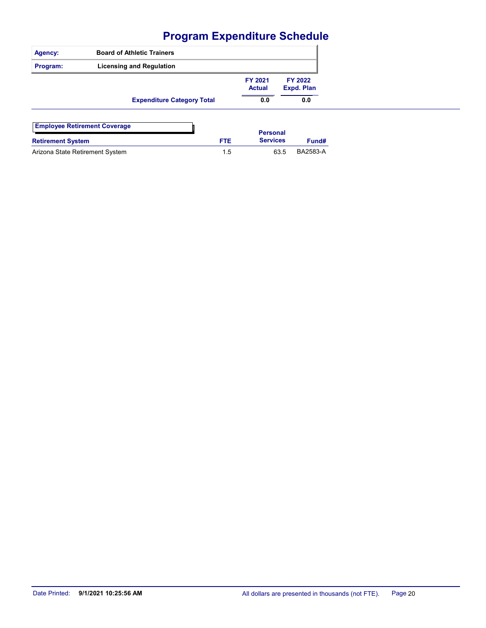| Agency:                         | <b>Board of Athletic Trainers</b>   |      |                          |                       |                 |
|---------------------------------|-------------------------------------|------|--------------------------|-----------------------|-----------------|
| Program:                        | <b>Licensing and Regulation</b>     |      |                          |                       |                 |
|                                 |                                     |      | FY 2021<br><b>Actual</b> | FY 2022<br>Expd. Plan |                 |
|                                 | <b>Expenditure Category Total</b>   |      | 0.0                      |                       | 0.0             |
|                                 | <b>Employee Retirement Coverage</b> |      | <b>Personal</b>          |                       |                 |
| <b>Retirement System</b>        |                                     | FTE. | <b>Services</b>          |                       | Fund#           |
| Arizona State Retirement System |                                     | 1.5  |                          | 63.5                  | <b>BA2583-A</b> |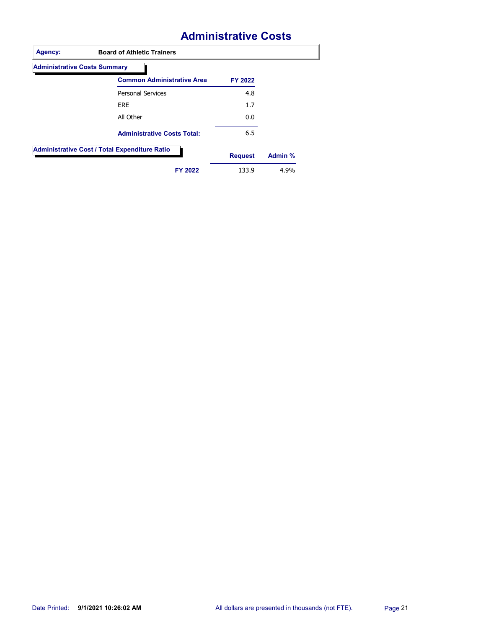# **Administrative Costs**

| <b>Administrative Costs Summary</b>                  |                |         |
|------------------------------------------------------|----------------|---------|
| <b>Common Administrative Area</b>                    | FY 2022        |         |
| <b>Personal Services</b>                             | 4.8            |         |
| <b>ERE</b>                                           | 1.7            |         |
| All Other                                            | 0.0            |         |
| <b>Administrative Costs Total:</b>                   | 6.5            |         |
| <b>Administrative Cost / Total Expenditure Ratio</b> | <b>Request</b> | Admin % |
| FY 2022                                              | 133.9          | 4.9%    |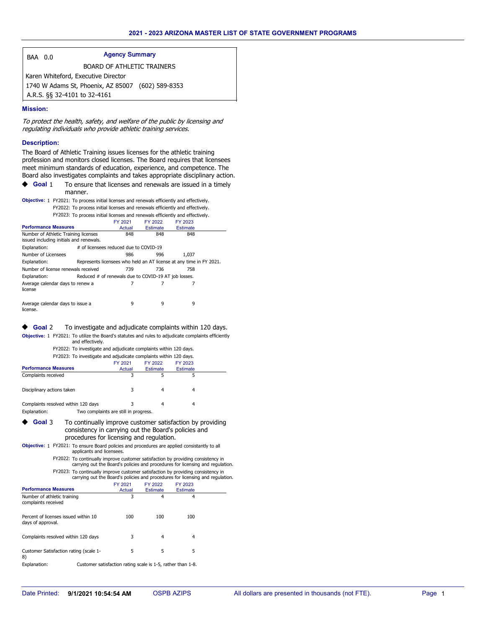| 0.0 |
|-----|
|     |
|     |

Agency Summary

BOARD OF ATHLETIC TRAINERS

 1740 W Adams St, Phoenix, AZ 85007 (602) 589-8353 Karen Whiteford, Executive Director A.R.S. §§ 32-4101 to 32-4161

#### **Mission:**

To protect the health, safety, and welfare of the public by licensing and regulating individuals who provide athletic training services.

#### **Description:**

The Board of Athletic Training issues licenses for the athletic training profession and monitors closed licenses. The Board requires that licensees meet minimum standards of education, experience, and competence. The Board also investigates complaints and takes appropriate disciplinary action.

To ensure that licenses and renewals are issued in a timely manner. **Goal** 1

| Objective: 1 FY2021: To process initial licenses and renewals efficiently and effectively. |
|--------------------------------------------------------------------------------------------|
| FY2022: To process initial licenses and renewals efficiently and effectively.              |
| FY2023: To process initial licenses and renewals efficiently and effectively.              |

|                                                                                 |     | FY 2021                                                             | FY 2022         | FY 2023         |  |
|---------------------------------------------------------------------------------|-----|---------------------------------------------------------------------|-----------------|-----------------|--|
| <b>Performance Measures</b>                                                     |     | Actual                                                              | <b>Estimate</b> | <b>Estimate</b> |  |
| Number of Athletic Training licenses<br>issued including initials and renewals. | 848 | 848                                                                 | 848             |                 |  |
| Explanation:                                                                    |     | # of licensees reduced due to COVID-19                              |                 |                 |  |
| Number of Licensees                                                             |     | 986                                                                 | 996             | 1.037           |  |
| Explanation:                                                                    |     | Represents licensees who held an AT license at any time in FY 2021. |                 |                 |  |
| Number of license renewals received                                             | 739 | 736                                                                 | 758             |                 |  |
| Explanation:                                                                    |     | Reduced # of renewals due to COVID-19 AT job losses.                |                 |                 |  |
| Average calendar days to renew a<br>license                                     |     |                                                                     |                 |                 |  |
| Average calendar days to issue a<br>license.                                    |     | 9                                                                   | 9               | 9               |  |

#### ◆ Goal 2 To investigate and adjudicate complaints within 120 days. Objective: 1 FY2021: To utilize the Board's statutes and rules to adjudicate complaints efficiently

and effectively. FY2022: To investigate and adjudicate complaints within 120 days.

| FY2023: To investigate and adjudicate complaints within 120 days. |  |                                       |                 |                 |  |  |  |  |
|-------------------------------------------------------------------|--|---------------------------------------|-----------------|-----------------|--|--|--|--|
|                                                                   |  | FY 2021                               | FY 2022         | FY 2023         |  |  |  |  |
| <b>Performance Measures</b>                                       |  | Actual                                | <b>Estimate</b> | <b>Estimate</b> |  |  |  |  |
| Complaints received                                               |  | 3                                     |                 |                 |  |  |  |  |
| Disciplinary actions taken                                        |  | 3                                     |                 | 4               |  |  |  |  |
| Complaints resolved within 120 days                               |  | 3                                     | 4               | 4               |  |  |  |  |
| Explanation:                                                      |  | Two complaints are still in progress. |                 |                 |  |  |  |  |

- To continually improve customer satisfaction by providing consistency in carrying out the Board's policies and procedures for licensing and regulation. **Goal** 3
- Objective: 1 FY2021: To ensure Board policies and procedures are applied consistantly to all applicants and licensees.
	- FY2022: To continually improve customer satisfaction by providing consistency in carrying out the Board's policies and procedures for licensing and regulation. FY2023: To continually improve customer satisfaction by providing consistency in carrying out the Board's policies and procedures for licensing and regulation.

|                                                           | FY 2021                                                     | FY 2022         | FY 2023         |  |
|-----------------------------------------------------------|-------------------------------------------------------------|-----------------|-----------------|--|
| <b>Performance Measures</b>                               | Actual                                                      | <b>Estimate</b> | <b>Estimate</b> |  |
| Number of athletic training<br>complaints received        | 3                                                           | 4               | 4               |  |
| Percent of licenses issued within 10<br>days of approval. | 100                                                         | 100             | 100             |  |
| Complaints resolved within 120 days                       | 3                                                           | 4               | 4               |  |
| Customer Satisfaction rating (scale 1-<br>8)              | 5                                                           | 5               | 5               |  |
| Explanation:                                              | Customer satisfaction rating scale is 1-5, rather than 1-8. |                 |                 |  |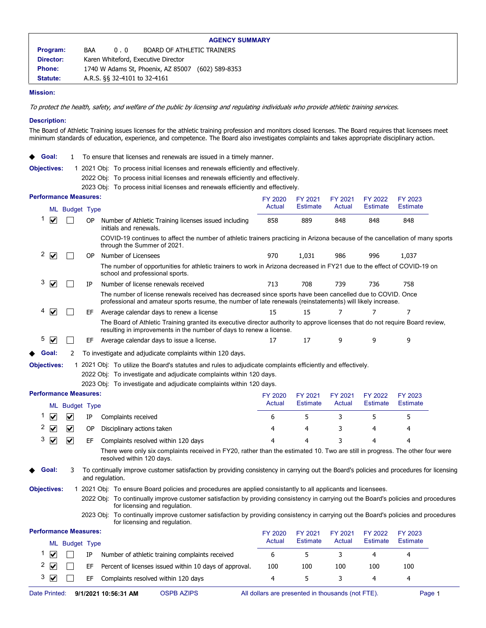|               |     |     | <b>AGENCY SUMMARY</b>                             |  |
|---------------|-----|-----|---------------------------------------------------|--|
| Program:      | BAA | 0.0 | BOARD OF ATHLETIC TRAINERS                        |  |
| Director:     |     |     | Karen Whiteford, Executive Director               |  |
| <b>Phone:</b> |     |     | 1740 W Adams St, Phoenix, AZ 85007 (602) 589-8353 |  |
| Statute:      |     |     | A.R.S. §§ 32-4101 to 32-4161                      |  |
|               |     |     |                                                   |  |

#### **Mission:**

To protect the health, safety, and welfare of the public by licensing and regulating individuals who provide athletic training services.

#### **Description:**

The Board of Athletic Training issues licenses for the athletic training profession and monitors closed licenses. The Board requires that licensees meet minimum standards of education, experience, and competence. The Board also investigates complaints and takes appropriate disciplinary action.

- ◆ Goal: 1 To ensure that licenses and renewals are issued in a timely manner.
- Objectives: 1 2021 Obj: To process initial licenses and renewals efficiently and effectively.
	- 2022 Obj: To process initial licenses and renewals efficiently and effectively.
		- 2023 Obj: To process initial licenses and renewals efficiently and effectively.

| <b>Performance Measures:</b>                               |                                                                                                                                                                                                                         | FY 2020           | FY 2021                    | FY 2021           | FY 2022                    | FY 2023                    |  |
|------------------------------------------------------------|-------------------------------------------------------------------------------------------------------------------------------------------------------------------------------------------------------------------------|-------------------|----------------------------|-------------------|----------------------------|----------------------------|--|
| ML Budget Type                                             |                                                                                                                                                                                                                         | Actual            | <b>Estimate</b>            | Actual            | <b>Estimate</b>            | <b>Estimate</b>            |  |
| 1<br>$\blacktriangledown$<br>OP.                           | Number of Athletic Training licenses issued including<br>initials and renewals.                                                                                                                                         | 858               | 889                        | 848               | 848                        | 848                        |  |
|                                                            | COVID-19 continues to affect the number of athletic trainers practicing in Arizona because of the cancellation of many sports<br>through the Summer of 2021.                                                            |                   |                            |                   |                            |                            |  |
| 2<br>$\blacktriangledown$<br>OP.                           | Number of Licensees                                                                                                                                                                                                     | 970               | 1,031                      | 986               | 996                        | 1,037                      |  |
|                                                            | The number of opportunities for athletic trainers to work in Arizona decreased in FY21 due to the effect of COVID-19 on<br>school and professional sports.                                                              |                   |                            |                   |                            |                            |  |
| 3<br>$\blacktriangledown$<br>IP                            | Number of license renewals received                                                                                                                                                                                     | 713               | 708                        | 739               | 736                        | 758                        |  |
|                                                            | The number of license renewals received has decreased since sports have been cancelled due to COVID. Once<br>professional and amateur sports resume, the number of late renewals (reinstatements) will likely increase. |                   |                            |                   |                            |                            |  |
| 4<br>$\blacktriangledown$<br>EF                            | Average calendar days to renew a license                                                                                                                                                                                | 15                | 15                         | 7                 | 7                          | 7                          |  |
|                                                            | The Board of Athletic Training granted its executive director authority to approve licenses that do not require Board review,<br>resulting in improvements in the number of days to renew a license.                    |                   |                            |                   |                            |                            |  |
| 5<br>☑<br>ΕF                                               | Average calendar days to issue a license.                                                                                                                                                                               | 17                | 17                         | 9                 | 9                          | 9                          |  |
| Goal:<br>2                                                 | To investigate and adjudicate complaints within 120 days.                                                                                                                                                               |                   |                            |                   |                            |                            |  |
| <b>Objectives:</b>                                         | 1 2021 Obj: To utilize the Board's statutes and rules to adjudicate complaints efficiently and effectively.                                                                                                             |                   |                            |                   |                            |                            |  |
|                                                            | 2022 Obj: To investigate and adjudicate complaints within 120 days.                                                                                                                                                     |                   |                            |                   |                            |                            |  |
|                                                            | 2023 Obj: To investigate and adjudicate complaints within 120 days.                                                                                                                                                     |                   |                            |                   |                            |                            |  |
| <b>Performance Measures:</b><br>ML Budget Type             |                                                                                                                                                                                                                         | FY 2020<br>Actual | FY 2021<br><b>Estimate</b> | FY 2021<br>Actual | FY 2022<br><b>Estimate</b> | FY 2023<br><b>Estimate</b> |  |
| 1<br>☑<br>$\blacktriangledown$<br>ΙP                       | Complaints received                                                                                                                                                                                                     | 6                 | 5                          | 3                 | 5                          | 5                          |  |
| 2<br>☑<br>$\overline{\mathbf{v}}$<br>OP                    | Disciplinary actions taken                                                                                                                                                                                              | 4                 | 4                          | 3                 | 4                          | 4                          |  |
| 3<br>$\overline{\mathbf{v}}$<br>$\blacktriangledown$<br>EF | Complaints resolved within 120 days                                                                                                                                                                                     | 4                 | 4                          | 3                 | 4                          | 4                          |  |
|                                                            | There were only six complaints received in FY20, rather than the estimated 10. Two are still in progress. The other four were<br>resolved within 120 days.                                                              |                   |                            |                   |                            |                            |  |
| Goal:<br>3<br>and regulation.                              | To continually improve customer satisfaction by providing consistency in carrying out the Board's policies and procedures for licensing                                                                                 |                   |                            |                   |                            |                            |  |
| <b>Objectives:</b>                                         | 1 2021 Obj: To ensure Board policies and procedures are applied consistantly to all applicants and licensees.                                                                                                           |                   |                            |                   |                            |                            |  |
|                                                            | 2022 Obj: To continually improve customer satisfaction by providing consistency in carrying out the Board's policies and procedures<br>for licensing and regulation.                                                    |                   |                            |                   |                            |                            |  |
|                                                            | 2023 Obj: To continually improve customer satisfaction by providing consistency in carrying out the Board's policies and procedures<br>for licensing and regulation.                                                    |                   |                            |                   |                            |                            |  |
| <b>Performance Measures:</b>                               |                                                                                                                                                                                                                         | FY 2020           | FY 2021                    | FY 2021           | FY 2022                    | FY 2023                    |  |
| ML Budget Type                                             |                                                                                                                                                                                                                         | Actual            | <b>Estimate</b>            | Actual            | <b>Estimate</b>            | <b>Estimate</b>            |  |
| 1<br>$\blacktriangledown$<br>IP                            | Number of athletic training complaints received                                                                                                                                                                         | 6                 | 5                          | 3                 | 4                          | 4                          |  |
| 2<br>V<br>EF                                               | Percent of licenses issued within 10 days of approval.                                                                                                                                                                  | 100               | 100                        | 100               | 100                        | 100                        |  |
| 3<br>$\blacktriangledown$<br>EF                            | Complaints resolved within 120 days                                                                                                                                                                                     | 4                 | 5                          | 3                 | 4                          | 4                          |  |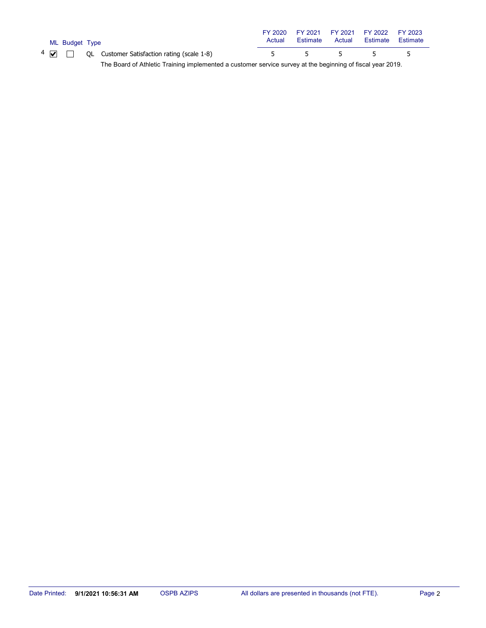|  | ML Budget Type |                                                                                                            | Actual | FY 2020 FY 2021 FY 2021 FY 2022<br>Estimate | Actual | Estimate | FY 2023<br>Estimate |
|--|----------------|------------------------------------------------------------------------------------------------------------|--------|---------------------------------------------|--------|----------|---------------------|
|  |                | $4 \nabla$ $\Box$ QL Customer Satisfaction rating (scale 1-8)                                              |        | 5 5 5                                       |        | $5 - 5$  | $-5$                |
|  |                | The Board of Athletic Training implemented a customer service survey at the beginning of fiscal year 2019. |        |                                             |        |          |                     |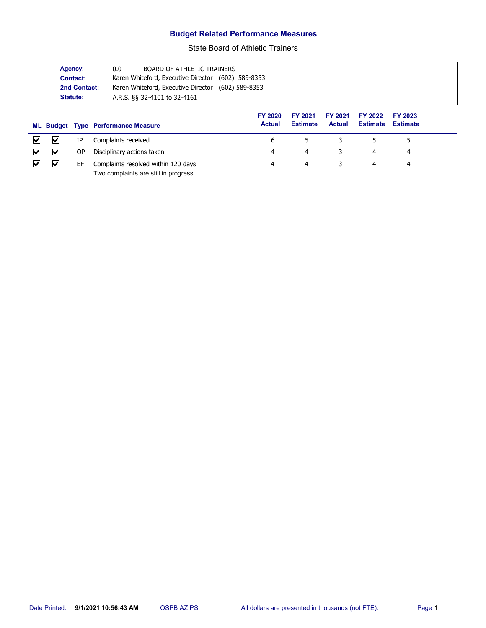### **Budget Related Performance Measures**

State Board of Athletic Trainers

|                                                 | Agency:<br>Contact:<br>2nd Contact:<br>Statute: | 0.0<br><b>BOARD OF ATHLETIC TRAINERS</b><br>Karen Whiteford, Executive Director (602) 589-8353<br>Karen Whiteford, Executive Director (602) 589-8353<br>A.R.S. §§ 32-4101 to 32-4161 |                                 |                            |                          |                            |                            |
|-------------------------------------------------|-------------------------------------------------|--------------------------------------------------------------------------------------------------------------------------------------------------------------------------------------|---------------------------------|----------------------------|--------------------------|----------------------------|----------------------------|
|                                                 |                                                 | <b>ML Budget Type Performance Measure</b>                                                                                                                                            | <b>FY 2020</b><br><b>Actual</b> | FY 2021<br><b>Estimate</b> | FY 2021<br><b>Actual</b> | FY 2022<br><b>Estimate</b> | FY 2023<br><b>Estimate</b> |
| V<br>M                                          | IP                                              | Complaints received                                                                                                                                                                  | 6                               | 5                          | 3                        | 5                          | 5                          |
| $\blacktriangledown$<br>$\vert\mathcal{V}\vert$ | ΟP                                              | Disciplinary actions taken                                                                                                                                                           | 4                               | 4                          | 3                        | 4                          | 4                          |
| V<br>M                                          | EF                                              | Complaints resolved within 120 days<br>Two complaints are still in progress.                                                                                                         | 4                               | 4                          | 3                        | 4                          | 4                          |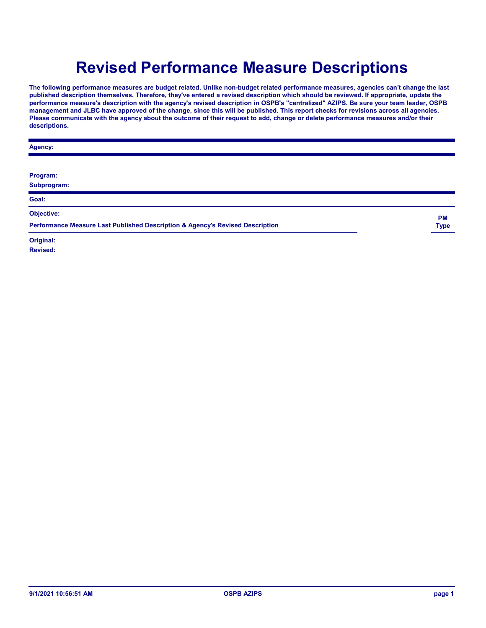# **Revised Performance Measure Descriptions**

**The following performance measures are budget related. Unlike non-budget related performance measures, agencies can't change the last published description themselves. Therefore, they've entered a revised description which should be reviewed. If appropriate, update the performance measure's description with the agency's revised description in OSPB's "centralized" AZIPS. Be sure your team leader, OSPB management and JLBC have approved of the change, since this will be published. This report checks for revisions across all agencies. Please communicate with the agency about the outcome of their request to add, change or delete performance measures and/or their descriptions.**

| Agency:                                                                       |             |
|-------------------------------------------------------------------------------|-------------|
| Program:<br>Subprogram:                                                       |             |
| Goal:                                                                         |             |
| Objective:                                                                    | <b>PM</b>   |
| Performance Measure Last Published Description & Agency's Revised Description | <b>Type</b> |
| Original:                                                                     |             |

**Revised:**